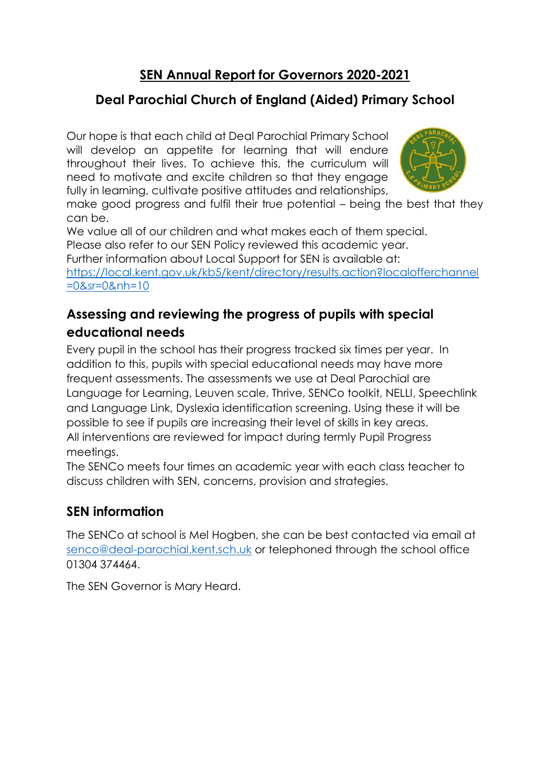# **SEN Annual Report for Governors 2020-2021**

# **Deal Parochial Church of England (Aided) Primary School**

Our hope is that each child at Deal Parochial Primary School will develop an appetite for learning that will endure throughout their lives. To achieve this, the curriculum will need to motivate and excite children so that they engage fully in learning, cultivate positive attitudes and relationships,



make good progress and fulfil their true potential – being the best that they can be.

We value all of our children and what makes each of them special. Please also refer to our SEN Policy reviewed this academic year. Further information about Local Support for SEN is available at: [https://local.kent.gov.uk/kb5/kent/directory/results.action?localofferchannel](https://local.kent.gov.uk/kb5/kent/directory/results.action?localofferchannel=0&sr=0&nh=10) [=0&sr=0&nh=10](https://local.kent.gov.uk/kb5/kent/directory/results.action?localofferchannel=0&sr=0&nh=10)

### **Assessing and reviewing the progress of pupils with special educational needs**

Every pupil in the school has their progress tracked six times per year. In addition to this, pupils with special educational needs may have more frequent assessments. The assessments we use at Deal Parochial are Language for Learning, Leuven scale, Thrive, SENCo toolkit, NELLI, Speechlink and Language Link, Dyslexia identification screening. Using these it will be possible to see if pupils are increasing their level of skills in key areas. All interventions are reviewed for impact during termly Pupil Progress meetings.

The SENCo meets four times an academic year with each class teacher to discuss children with SEN, concerns, provision and strategies.

### **SEN information**

The SENCo at school is Mel Hogben, she can be best contacted via email at [senco@deal-parochial.kent.sch.uk](mailto:senco@deal-parochial.kent.sch.uk) or telephoned through the school office 01304 374464.

The SEN Governor is Mary Heard.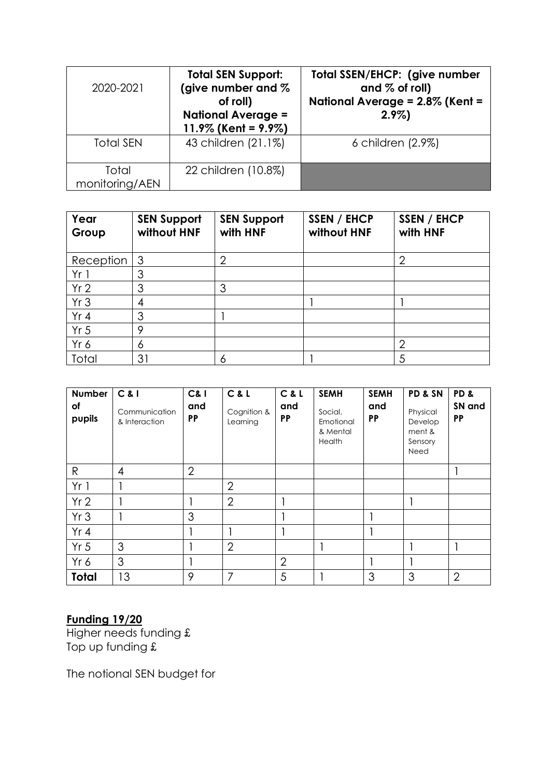| 2020-2021               | <b>Total SEN Support:</b><br>(give number and %<br>of roll)<br><b>National Average =</b><br>11.9% (Kent = $9.9\%$ ) | Total SSEN/EHCP: (give number<br>and $%$ of roll)<br>National Average = 2.8% (Kent =<br>$2.9\%$ |
|-------------------------|---------------------------------------------------------------------------------------------------------------------|-------------------------------------------------------------------------------------------------|
| <b>Total SEN</b>        | 43 children (21.1%)                                                                                                 | 6 children (2.9%)                                                                               |
| Total<br>monitoring/AEN | 22 children (10.8%)                                                                                                 |                                                                                                 |

| Year<br>Group   | <b>SEN Support</b><br>without HNF | <b>SEN Support</b><br>with HNF | SSEN / EHCP<br>without HNF | SSEN / EHCP<br>with HNF |
|-----------------|-----------------------------------|--------------------------------|----------------------------|-------------------------|
| Reception       | -3                                | ◠                              |                            | $\overline{2}$          |
| Yr1             | 3                                 |                                |                            |                         |
| Yr <sub>2</sub> | 3                                 | 3                              |                            |                         |
| Yr3             | 4                                 |                                |                            |                         |
| Yr 4            | 3                                 |                                |                            |                         |
| Yr <sub>5</sub> | 9                                 |                                |                            |                         |
| Yr 6            | 6                                 |                                |                            | 2                       |
| Total           | 31                                | 6                              |                            | 5                       |

| <b>Number</b><br>оf<br>pupils | C &  <br>Communication<br>& Interaction | <b>C&amp;I</b><br>and<br><b>PP</b> | C & L<br>Cognition &<br>Learning | C&L<br>and<br>PP | <b>SEMH</b><br>Social,<br>Emotional<br>& Mental<br>Health | <b>SEMH</b><br>and<br><b>PP</b> | PD & SN<br>Physical<br>Develop<br>ment &<br>Sensory<br>Need | PD <sub>&amp;</sub><br>SN and<br><b>PP</b> |
|-------------------------------|-----------------------------------------|------------------------------------|----------------------------------|------------------|-----------------------------------------------------------|---------------------------------|-------------------------------------------------------------|--------------------------------------------|
| $\mathsf{R}$                  | $\overline{4}$                          | $\overline{2}$                     |                                  |                  |                                                           |                                 |                                                             |                                            |
| Yr1                           |                                         |                                    | $\overline{2}$                   |                  |                                                           |                                 |                                                             |                                            |
| Yr2                           |                                         |                                    | $\overline{2}$                   |                  |                                                           |                                 |                                                             |                                            |
| Yr3                           |                                         | 3                                  |                                  |                  |                                                           |                                 |                                                             |                                            |
| Yr 4                          |                                         |                                    |                                  |                  |                                                           |                                 |                                                             |                                            |
| Yr <sub>5</sub>               | 3                                       |                                    | $\overline{2}$                   |                  |                                                           |                                 |                                                             |                                            |
| Yr 6                          | 3                                       |                                    |                                  | $\overline{2}$   |                                                           |                                 |                                                             |                                            |
| <b>Total</b>                  | 13                                      | 9                                  | 7                                | 5                |                                                           | 3                               | 3                                                           | $\overline{2}$                             |

#### **Funding 19/20**

Higher needs funding £ Top up funding £

The notional SEN budget for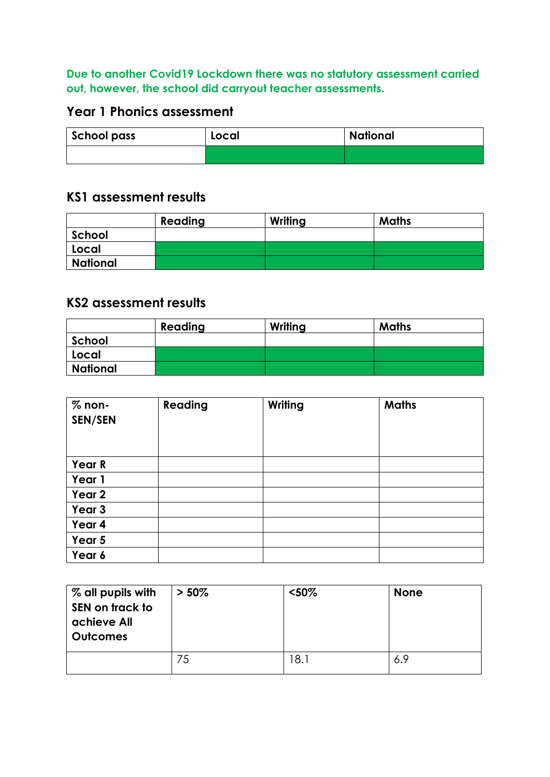### **Due to another Covid19 Lockdown there was no statutory assessment carried out, however, the school did carryout teacher assessments.**

### **Year 1 Phonics assessment**

| <b>School pass</b> | Local | <b>National</b> |
|--------------------|-------|-----------------|
|                    |       |                 |

#### **KS1 assessment results**

|          | Reading | Writing | <b>Maths</b> |
|----------|---------|---------|--------------|
| School   |         |         |              |
| Local    |         |         |              |
| National |         |         |              |

### **KS2 assessment results**

|          | Reading | Writing | <b>Maths</b> |
|----------|---------|---------|--------------|
| School   |         |         |              |
| Local    |         |         |              |
| National |         |         |              |

| $%$ non-<br>SEN/SEN | Reading | Writing | <b>Maths</b> |
|---------------------|---------|---------|--------------|
| Year R              |         |         |              |
| Year 1              |         |         |              |
| Year 2              |         |         |              |
| Year 3              |         |         |              |
| Year 4              |         |         |              |
| Year 5              |         |         |              |
| Year 6              |         |         |              |

| % all pupils with<br>SEN on track to<br>achieve All<br><b>Outcomes</b> | $> 50\%$ | $50%$ | <b>None</b> |
|------------------------------------------------------------------------|----------|-------|-------------|
|                                                                        | 75       | 18.1  | 6.9         |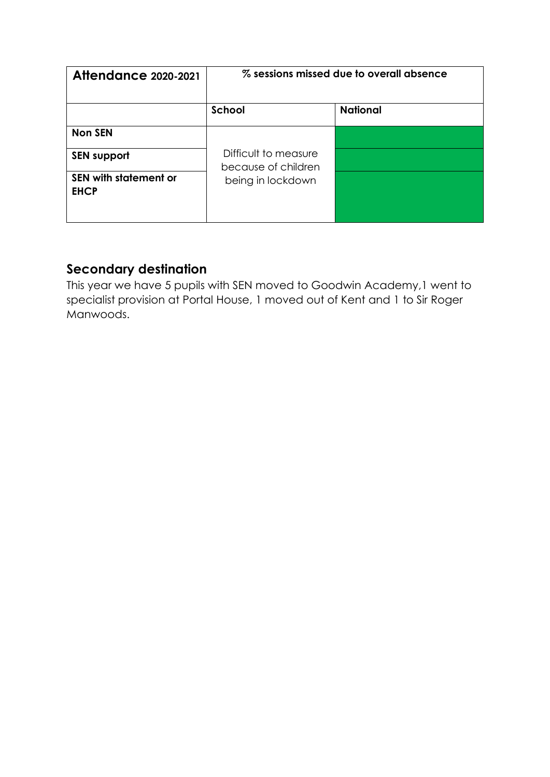| <b>Attendance 2020-2021</b>                 | % sessions missed due to overall absence    |                 |  |
|---------------------------------------------|---------------------------------------------|-----------------|--|
|                                             | School                                      | <b>National</b> |  |
| <b>Non SEN</b>                              |                                             |                 |  |
| <b>SEN support</b>                          | Difficult to measure<br>because of children |                 |  |
| <b>SEN with statement or</b><br><b>EHCP</b> | being in lockdown                           |                 |  |

### **Secondary destination**

This year we have 5 pupils with SEN moved to Goodwin Academy,1 went to specialist provision at Portal House, 1 moved out of Kent and 1 to Sir Roger Manwoods.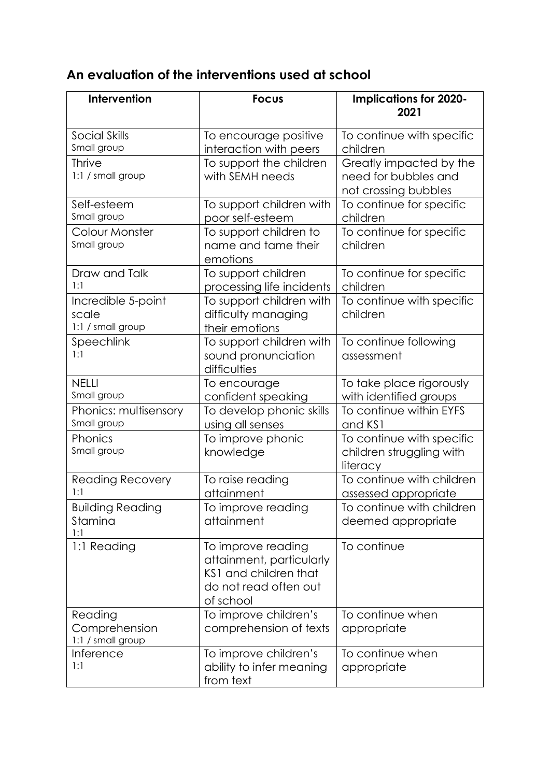# **An evaluation of the interventions used at school**

| Intervention                                     | <b>Focus</b>                                                                                                  | <b>Implications for 2020-</b><br>2021                                   |
|--------------------------------------------------|---------------------------------------------------------------------------------------------------------------|-------------------------------------------------------------------------|
| Social Skills<br>Small group                     | To encourage positive<br>interaction with peers                                                               | To continue with specific<br>children                                   |
| <b>Thrive</b><br>1:1 / small group               | To support the children<br>with SEMH needs                                                                    | Greatly impacted by the<br>need for bubbles and<br>not crossing bubbles |
| Self-esteem<br>Small group                       | To support children with<br>poor self-esteem                                                                  | To continue for specific<br>children                                    |
| Colour Monster<br>Small group                    | To support children to<br>name and tame their<br>emotions                                                     | To continue for specific<br>children                                    |
| Draw and Talk<br>1:1                             | To support children<br>processing life incidents                                                              | To continue for specific<br>children                                    |
| Incredible 5-point<br>scale<br>1:1 / small group | To support children with<br>difficulty managing<br>their emotions                                             | To continue with specific<br>children                                   |
| Speechlink<br>1:1                                | To support children with<br>sound pronunciation<br>difficulties                                               | To continue following<br>assessment                                     |
| <b>NELLI</b><br>Small group                      | To encourage<br>confident speaking                                                                            | To take place rigorously<br>with identified groups                      |
| Phonics: multisensory<br>Small group             | To develop phonic skills<br>using all senses                                                                  | To continue within EYFS<br>and KS1                                      |
| Phonics<br>Small group                           | To improve phonic<br>knowledge                                                                                | To continue with specific<br>children struggling with<br>literacy       |
| <b>Reading Recovery</b><br>1:1                   | To raise reading<br>attainment                                                                                | To continue with children<br>assessed appropriate                       |
| <b>Building Reading</b><br>Stamina<br>1:1        | To improve reading<br>attainment                                                                              | To continue with children<br>deemed appropriate                         |
| 1:1 Reading                                      | To improve reading<br>attainment, particularly<br>KS1 and children that<br>do not read often out<br>of school | To continue                                                             |
| Reading<br>Comprehension<br>1:1 / small group    | To improve children's<br>comprehension of texts                                                               | To continue when<br>appropriate                                         |
| Inference<br>1:1                                 | To improve children's<br>ability to infer meaning<br>from text                                                | To continue when<br>appropriate                                         |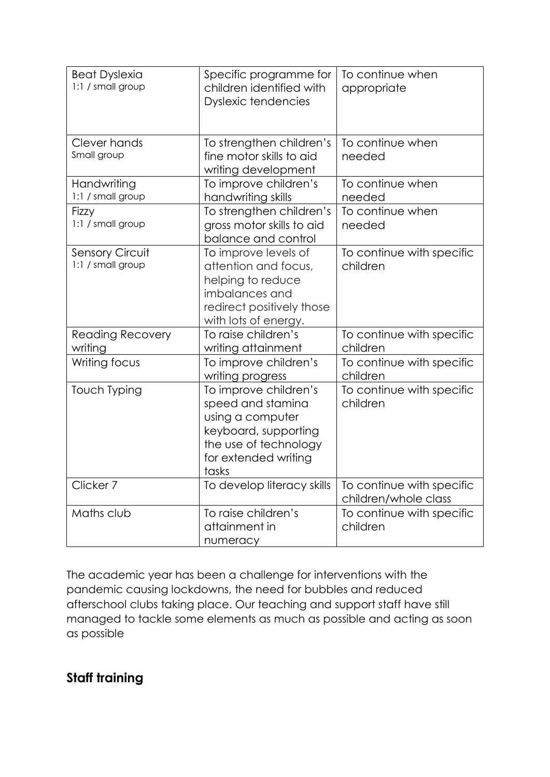| <b>Beat Dyslexia</b><br>1:1 / small group   | Specific programme for<br>children identified with<br><b>Dyslexic tendencies</b>                                                                 | To continue when<br>appropriate                   |
|---------------------------------------------|--------------------------------------------------------------------------------------------------------------------------------------------------|---------------------------------------------------|
| Clever hands<br>Small group                 | To strengthen children's<br>fine motor skills to aid<br>writing development                                                                      | To continue when<br>needed                        |
| Handwriting<br>1:1 / small group            | To improve children's<br>handwriting skills                                                                                                      | To continue when<br>needed                        |
| Fizzy<br>1:1 / small group                  | To strengthen children's<br>gross motor skills to aid<br>balance and control                                                                     | To continue when<br>needed                        |
| <b>Sensory Circuit</b><br>1:1 / small group | To improve levels of<br>attention and focus,<br>helping to reduce<br>imbalances and<br>redirect positively those<br>with lots of energy.         | To continue with specific<br>children             |
| <b>Reading Recovery</b><br>writing          | To raise children's<br>writing attainment                                                                                                        | To continue with specific<br>children             |
| Writing focus                               | To improve children's<br>writing progress                                                                                                        | To continue with specific<br>children             |
| <b>Touch Typing</b>                         | To improve children's<br>speed and stamina<br>using a computer<br>keyboard, supporting<br>the use of technology<br>for extended writing<br>tasks | To continue with specific<br>children             |
| Clicker 7                                   | To develop literacy skills                                                                                                                       | To continue with specific<br>children/whole class |
| Maths club                                  | To raise children's<br>attainment in<br>numeracy                                                                                                 | To continue with specific<br>children             |

The academic year has been a challenge for interventions with the pandemic causing lockdowns, the need for bubbles and reduced afterschool clubs taking place. Our teaching and support staff have still managed to tackle some elements as much as possible and acting as soon as possible

# **Staff training**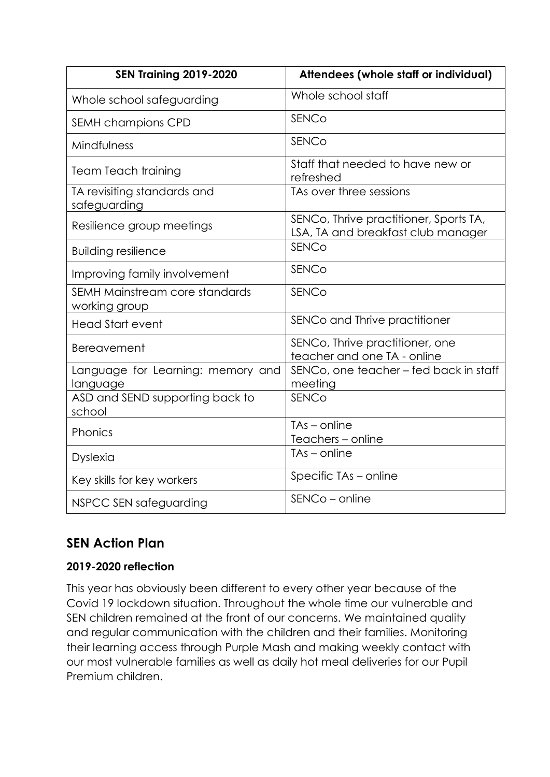| <b>SEN Training 2019-2020</b>                   | Attendees (whole staff or individual)                                        |
|-------------------------------------------------|------------------------------------------------------------------------------|
| Whole school safeguarding                       | Whole school staff                                                           |
| SEMH champions CPD                              | SENCo                                                                        |
| Mindfulness                                     | <b>SENCo</b>                                                                 |
| <b>Team Teach training</b>                      | Staff that needed to have new or<br>refreshed                                |
| TA revisiting standards and<br>safeguarding     | TAs over three sessions                                                      |
| Resilience group meetings                       | SENCo, Thrive practitioner, Sports TA,<br>LSA, TA and breakfast club manager |
| <b>Building resilience</b>                      | <b>SENCo</b>                                                                 |
| Improving family involvement                    | <b>SENCo</b>                                                                 |
| SEMH Mainstream core standards<br>working group | SENCo                                                                        |
| <b>Head Start event</b>                         | SENCo and Thrive practitioner                                                |
| <b>Bereavement</b>                              | SENCo, Thrive practitioner, one<br>teacher and one TA - online               |
| Language for Learning: memory and<br>language   | SENCo, one teacher - fed back in staff<br>meeting                            |
| ASD and SEND supporting back to<br>school       | <b>SENCo</b>                                                                 |
| Phonics                                         | $TAs - online$<br>Teachers - online                                          |
| <b>Dyslexia</b>                                 | $TAs - online$                                                               |
| Key skills for key workers                      | Specific TAs - online                                                        |
| NSPCC SEN safeguarding                          | SENCo - online                                                               |

### **SEN Action Plan**

#### **2019-2020 reflection**

This year has obviously been different to every other year because of the Covid 19 lockdown situation. Throughout the whole time our vulnerable and SEN children remained at the front of our concerns. We maintained quality and regular communication with the children and their families. Monitoring their learning access through Purple Mash and making weekly contact with our most vulnerable families as well as daily hot meal deliveries for our Pupil Premium children.